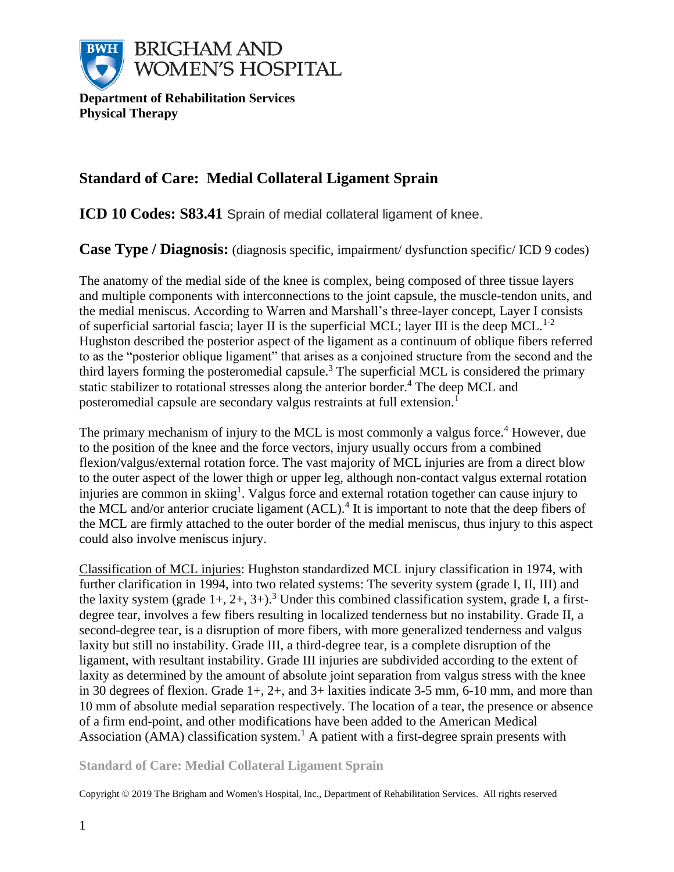

**Department of Rehabilitation Services Physical Therapy**

# **Standard of Care: Medial Collateral Ligament Sprain**

**ICD 10 Codes: S83.41** Sprain of medial collateral ligament of knee.

**Case Type / Diagnosis:** (diagnosis specific, impairment/ dysfunction specific/ ICD 9 codes)

The anatomy of the medial side of the knee is complex, being composed of three tissue layers and multiple components with interconnections to the joint capsule, the muscle-tendon units, and the medial meniscus. According to Warren and Marshall's three-layer concept, Layer I consists of superficial sartorial fascia; layer II is the superficial MCL; layer III is the deep MCL.<sup>1-2</sup> Hughston described the posterior aspect of the ligament as a continuum of oblique fibers referred to as the "posterior oblique ligament" that arises as a conjoined structure from the second and the third layers forming the posteromedial capsule.<sup>3</sup> The superficial MCL is considered the primary static stabilizer to rotational stresses along the anterior border.<sup>4</sup> The deep MCL and posteromedial capsule are secondary valgus restraints at full extension.<sup>1</sup>

The primary mechanism of injury to the MCL is most commonly a valgus force.<sup>4</sup> However, due to the position of the knee and the force vectors, injury usually occurs from a combined flexion/valgus/external rotation force. The vast majority of MCL injuries are from a direct blow to the outer aspect of the lower thigh or upper leg, although non-contact valgus external rotation injuries are common in skiing<sup>1</sup>. Valgus force and external rotation together can cause injury to the MCL and/or anterior cruciate ligament (ACL).<sup>4</sup> It is important to note that the deep fibers of the MCL are firmly attached to the outer border of the medial meniscus, thus injury to this aspect could also involve meniscus injury.

Classification of MCL injuries: Hughston standardized MCL injury classification in 1974, with further clarification in 1994, into two related systems: The severity system (grade I, II, III) and the laxity system (grade  $1+, 2+, 3+, 3$ ).<sup>3</sup> Under this combined classification system, grade I, a firstdegree tear, involves a few fibers resulting in localized tenderness but no instability. Grade II, a second-degree tear, is a disruption of more fibers, with more generalized tenderness and valgus laxity but still no instability. Grade III, a third-degree tear, is a complete disruption of the ligament, with resultant instability. Grade III injuries are subdivided according to the extent of laxity as determined by the amount of absolute joint separation from valgus stress with the knee in 30 degrees of flexion. Grade 1+, 2+, and 3+ laxities indicate 3-5 mm, 6-10 mm, and more than 10 mm of absolute medial separation respectively. The location of a tear, the presence or absence of a firm end-point, and other modifications have been added to the American Medical Association (AMA) classification system.<sup>1</sup> A patient with a first-degree sprain presents with

**Standard of Care: Medial Collateral Ligament Sprain**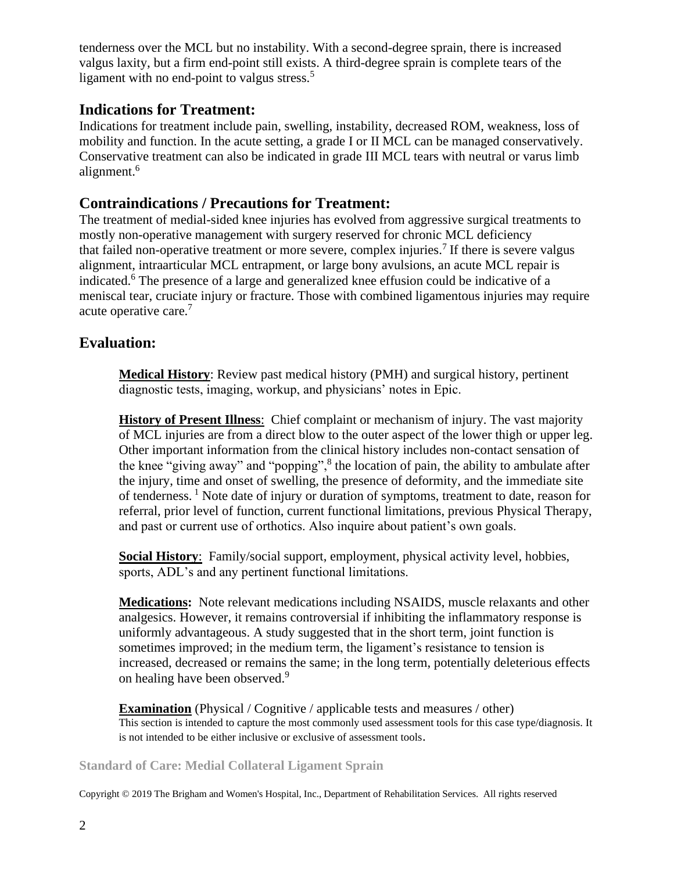tenderness over the MCL but no instability. With a second-degree sprain, there is increased valgus laxity, but a firm end-point still exists. A third-degree sprain is complete tears of the ligament with no end-point to valgus stress.<sup>5</sup>

### **Indications for Treatment:**

Indications for treatment include pain, swelling, instability, decreased ROM, weakness, loss of mobility and function. In the acute setting, a grade I or II MCL can be managed conservatively. Conservative treatment can also be indicated in grade III MCL tears with neutral or varus limb alignment.<sup>6</sup>

### **Contraindications / Precautions for Treatment:**

The treatment of medial-sided knee injuries has evolved from aggressive surgical treatments to mostly non-operative management with surgery reserved for chronic MCL deficiency that failed non-operative treatment or more severe, complex injuries.<sup>7</sup> If there is severe valgus alignment, intraarticular MCL entrapment, or large bony avulsions, an acute MCL repair is indicated.<sup>6</sup> The presence of a large and generalized knee effusion could be indicative of a meniscal tear, cruciate injury or fracture. Those with combined ligamentous injuries may require acute operative care.<sup>7</sup>

## **Evaluation:**

**Medical History**: Review past medical history (PMH) and surgical history, pertinent diagnostic tests, imaging, workup, and physicians' notes in Epic.

**History of Present Illness**: Chief complaint or mechanism of injury. The vast majority of MCL injuries are from a direct blow to the outer aspect of the lower thigh or upper leg. Other important information from the clinical history includes non-contact sensation of the knee "giving away" and "popping",<sup>8</sup> the location of pain, the ability to ambulate after the injury, time and onset of swelling, the presence of deformity, and the immediate site of tenderness.<sup>1</sup> Note date of injury or duration of symptoms, treatment to date, reason for referral, prior level of function, current functional limitations, previous Physical Therapy, and past or current use of orthotics. Also inquire about patient's own goals.

**Social History**: Family/social support, employment, physical activity level, hobbies, sports, ADL's and any pertinent functional limitations.

**Medications:** Note relevant medications including NSAIDS, muscle relaxants and other analgesics. However, it remains controversial if inhibiting the inflammatory response is uniformly advantageous. A study suggested that in the short term, joint function is sometimes improved; in the medium term, the ligament's resistance to tension is increased, decreased or remains the same; in the long term, potentially deleterious effects on healing have been observed.<sup>9</sup>

**Examination** (Physical / Cognitive / applicable tests and measures / other) This section is intended to capture the most commonly used assessment tools for this case type/diagnosis. It is not intended to be either inclusive or exclusive of assessment tools.

**Standard of Care: Medial Collateral Ligament Sprain**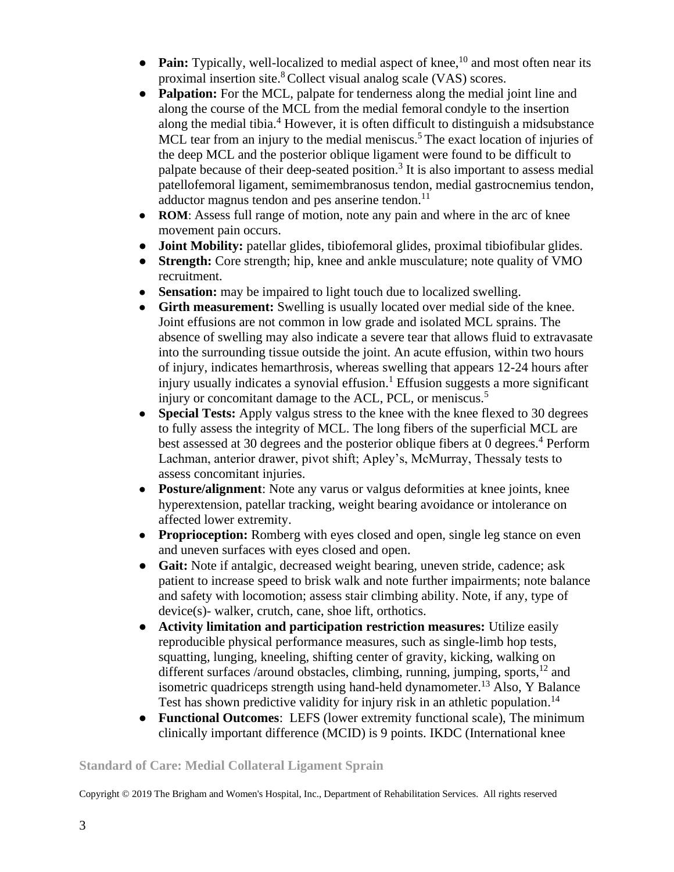- $\bullet$  **Pain:** Typically, well-localized to medial aspect of knee,  $^{10}$  and most often near its proximal insertion site.<sup>8</sup>Collect visual analog scale (VAS) scores.
- **Palpation:** For the MCL, palpate for tenderness along the medial joint line and along the course of the MCL from the medial femoral condyle to the insertion along the medial tibia.<sup>4</sup> However, it is often difficult to distinguish a midsubstance MCL tear from an injury to the medial meniscus.<sup>5</sup> The exact location of injuries of the deep MCL and the posterior oblique ligament were found to be difficult to palpate because of their deep-seated position.<sup>3</sup> It is also important to assess medial patellofemoral ligament, semimembranosus tendon, medial gastrocnemius tendon, adductor magnus tendon and pes anserine tendon.<sup>11</sup>
- **ROM**: Assess full range of motion, note any pain and where in the arc of knee movement pain occurs.
- **Joint Mobility:** patellar glides, tibiofemoral glides, proximal tibiofibular glides.
- **Strength:** Core strength; hip, knee and ankle musculature; note quality of VMO recruitment.
- **Sensation:** may be impaired to light touch due to localized swelling.
- **Girth measurement:** Swelling is usually located over medial side of the knee. Joint effusions are not common in low grade and isolated MCL sprains. The absence of swelling may also indicate a severe tear that allows fluid to extravasate into the surrounding tissue outside the joint. An acute effusion, within two hours of injury, indicates hemarthrosis, whereas swelling that appears 12-24 hours after injury usually indicates a synovial effusion.<sup>1</sup> Effusion suggests a more significant injury or concomitant damage to the ACL, PCL, or meniscus.<sup>5</sup>
- **Special Tests:** Apply valgus stress to the knee with the knee flexed to 30 degrees to fully assess the integrity of MCL. The long fibers of the superficial MCL are best assessed at 30 degrees and the posterior oblique fibers at 0 degrees.<sup>4</sup> Perform Lachman, anterior drawer, pivot shift; Apley's, McMurray, Thessaly tests to assess concomitant injuries.
- **Posture/alignment**: Note any varus or valgus deformities at knee joints, knee hyperextension, patellar tracking, weight bearing avoidance or intolerance on affected lower extremity.
- **Proprioception:** Romberg with eyes closed and open, single leg stance on even and uneven surfaces with eyes closed and open.
- **Gait:** Note if antalgic, decreased weight bearing, uneven stride, cadence; ask patient to increase speed to brisk walk and note further impairments; note balance and safety with locomotion; assess stair climbing ability. Note, if any, type of device(s)- walker, crutch, cane, shoe lift, orthotics.
- **Activity limitation and participation restriction measures:** Utilize easily reproducible physical performance measures, such as single-limb hop tests, squatting, lunging, kneeling, shifting center of gravity, kicking, walking on different surfaces /around obstacles, climbing, running, jumping, sports,<sup>12</sup> and isometric quadriceps strength using hand-held dynamometer.<sup>13</sup> Also, Y Balance Test has shown predictive validity for injury risk in an athletic population.<sup>14</sup>
- **Functional Outcomes**: LEFS (lower extremity functional scale), The minimum clinically important difference (MCID) is 9 points. IKDC (International knee

#### **Standard of Care: Medial Collateral Ligament Sprain**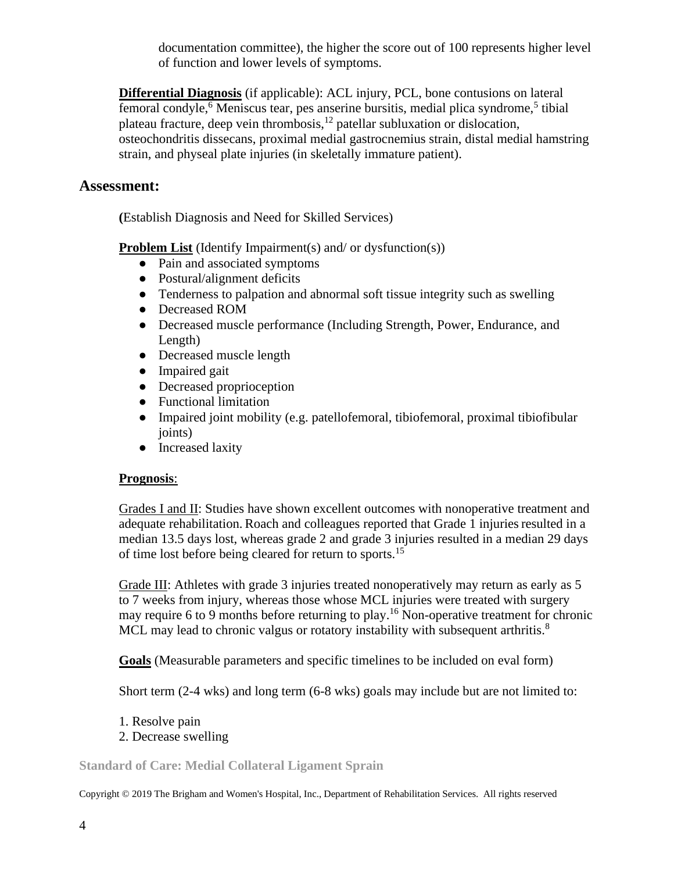documentation committee), the higher the score out of 100 represents higher level of function and lower levels of symptoms.

**Differential Diagnosis** (if applicable): ACL injury, PCL, bone contusions on lateral femoral condyle,<sup>6</sup> Meniscus tear, pes anserine bursitis, medial plica syndrome,<sup>5</sup> tibial plateau fracture, deep vein thrombosis,<sup>12</sup> patellar subluxation or dislocation, osteochondritis dissecans, proximal medial gastrocnemius strain, distal medial hamstring strain, and physeal plate injuries (in skeletally immature patient).

### **Assessment:**

**(**Establish Diagnosis and Need for Skilled Services)

**Problem List** (Identify Impairment(s) and/ or dysfunction(s))

- Pain and associated symptoms
- Postural/alignment deficits
- Tenderness to palpation and abnormal soft tissue integrity such as swelling
- Decreased ROM
- Decreased muscle performance (Including Strength, Power, Endurance, and Length)
- Decreased muscle length
- Impaired gait
- Decreased proprioception
- Functional limitation
- Impaired joint mobility (e.g. patellofemoral, tibiofemoral, proximal tibiofibular joints)
- Increased laxity

#### **Prognosis**:

Grades I and II: Studies have shown excellent outcomes with nonoperative treatment and adequate rehabilitation. Roach and colleagues reported that Grade 1 injuries resulted in a median 13.5 days lost, whereas grade 2 and grade 3 injuries resulted in a median 29 days of time lost before being cleared for return to sports.<sup>15</sup>

Grade III: Athletes with grade 3 injuries treated nonoperatively may return as early as 5 to 7 weeks from injury, whereas those whose MCL injuries were treated with surgery may require 6 to 9 months before returning to play.<sup>16</sup> Non-operative treatment for chronic MCL may lead to chronic valgus or rotatory instability with subsequent arthritis.<sup>8</sup>

**Goals** (Measurable parameters and specific timelines to be included on eval form)

Short term (2-4 wks) and long term (6-8 wks) goals may include but are not limited to:

- 1. Resolve pain
- 2. Decrease swelling

**Standard of Care: Medial Collateral Ligament Sprain**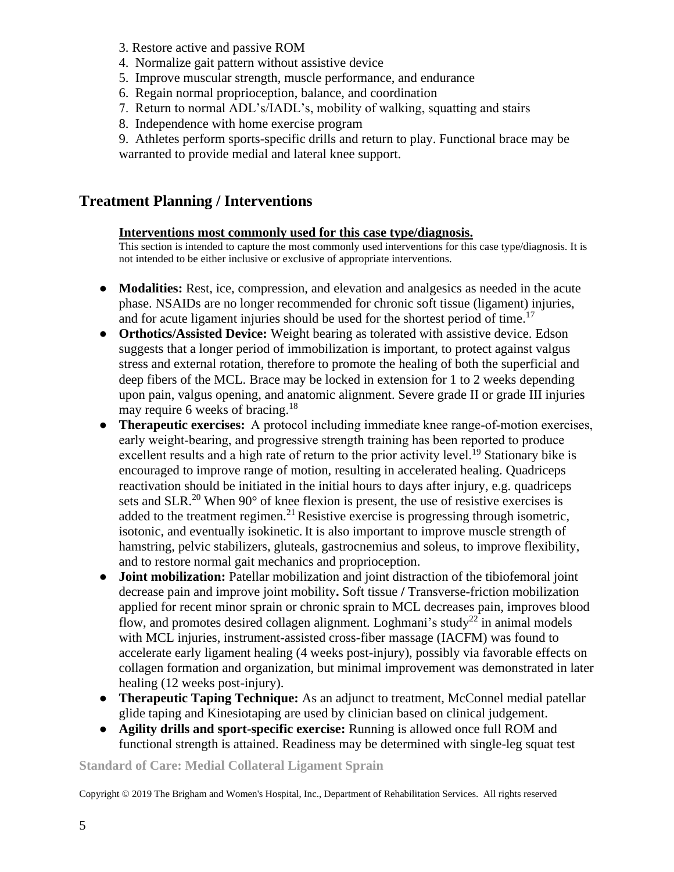- 3. Restore active and passive ROM
- 4. Normalize gait pattern without assistive device
- 5. Improve muscular strength, muscle performance, and endurance
- 6. Regain normal proprioception, balance, and coordination
- 7. Return to normal ADL's/IADL's, mobility of walking, squatting and stairs
- 8. Independence with home exercise program

9. Athletes perform sports-specific drills and return to play. Functional brace may be warranted to provide medial and lateral knee support.

### **Treatment Planning / Interventions**

#### **Interventions most commonly used for this case type/diagnosis.**

This section is intended to capture the most commonly used interventions for this case type/diagnosis. It is not intended to be either inclusive or exclusive of appropriate interventions.

- **● Modalities:** Rest, ice, compression, and elevation and analgesics as needed in the acute phase. NSAIDs are no longer recommended for chronic soft tissue (ligament) injuries, and for acute ligament injuries should be used for the shortest period of time.<sup>17</sup>
- **● Orthotics/Assisted Device:** Weight bearing as tolerated with assistive device. Edson suggests that a longer period of immobilization is important, to protect against valgus stress and external rotation, therefore to promote the healing of both the superficial and deep fibers of the MCL. Brace may be locked in extension for 1 to 2 weeks depending upon pain, valgus opening, and anatomic alignment. Severe grade II or grade III injuries may require 6 weeks of bracing.<sup>18</sup>
- **● Therapeutic exercises:** A protocol including immediate knee range-of-motion exercises, early weight-bearing, and progressive strength training has been reported to produce excellent results and a high rate of return to the prior activity level.<sup>19</sup> Stationary bike is encouraged to improve range of motion, resulting in accelerated healing. Quadriceps reactivation should be initiated in the initial hours to days after injury, e.g. quadriceps sets and SLR.<sup>20</sup> When  $90^{\circ}$  of knee flexion is present, the use of resistive exercises is added to the treatment regimen.<sup>21</sup> Resistive exercise is progressing through isometric, isotonic, and eventually isokinetic. It is also important to improve muscle strength of hamstring, pelvic stabilizers, gluteals, gastrocnemius and soleus, to improve flexibility, and to restore normal gait mechanics and proprioception.
- **Joint mobilization:** Patellar mobilization and joint distraction of the tibiofemoral joint decrease pain and improve joint mobility**.** Soft tissue **/** Transverse-friction mobilization applied for recent minor sprain or chronic sprain to MCL decreases pain, improves blood flow, and promotes desired collagen alignment. Loghmani's study<sup>22</sup> in animal models with MCL injuries, instrument-assisted cross-fiber massage (IACFM) was found to accelerate early ligament healing (4 weeks post-injury), possibly via favorable effects on collagen formation and organization, but minimal improvement was demonstrated in later healing (12 weeks post-injury).
- **Therapeutic Taping Technique:** As an adjunct to treatment, McConnel medial patellar glide taping and Kinesiotaping are used by clinician based on clinical judgement.
- **● Agility drills and sport-specific exercise:** Running is allowed once full ROM and functional strength is attained. Readiness may be determined with single-leg squat test

#### **Standard of Care: Medial Collateral Ligament Sprain**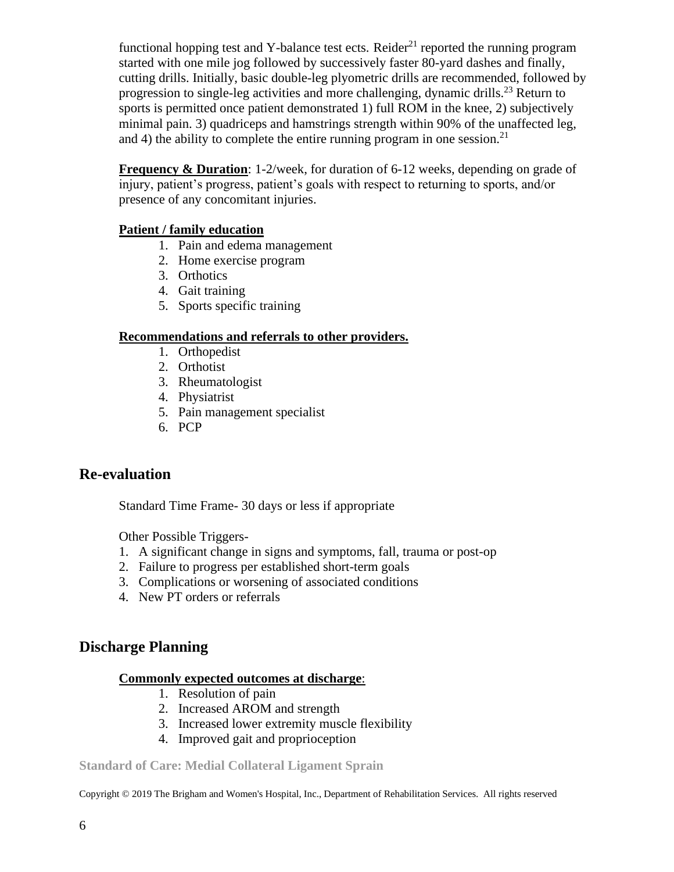functional hopping test and Y-balance test ects. Reider<sup>21</sup> reported the running program started with one mile jog followed by successively faster 80-yard dashes and finally, cutting drills. Initially, basic double-leg plyometric drills are recommended, followed by progression to single-leg activities and more challenging, dynamic drills.<sup>23</sup> Return to sports is permitted once patient demonstrated 1) full ROM in the knee, 2) subjectively minimal pain. 3) quadriceps and hamstrings strength within 90% of the unaffected leg, and 4) the ability to complete the entire running program in one session.<sup>21</sup>

**Frequency & Duration**: 1-2/week, for duration of 6-12 weeks, depending on grade of injury, patient's progress, patient's goals with respect to returning to sports, and/or presence of any concomitant injuries.

#### **Patient / family education**

- 1. Pain and edema management
- 2. Home exercise program
- 3. Orthotics
- 4. Gait training
- 5. Sports specific training

#### **Recommendations and referrals to other providers.**

- 1. Orthopedist
- 2. Orthotist
- 3. Rheumatologist
- 4. Physiatrist
- 5. Pain management specialist
- 6. PCP

## **Re-evaluation**

Standard Time Frame- 30 days or less if appropriate

Other Possible Triggers-

- 1. A significant change in signs and symptoms, fall, trauma or post-op
- 2. Failure to progress per established short-term goals
- 3. Complications or worsening of associated conditions
- 4. New PT orders or referrals

## **Discharge Planning**

#### **Commonly expected outcomes at discharge**:

- 1. Resolution of pain
- 2. Increased AROM and strength
- 3. Increased lower extremity muscle flexibility
- 4. Improved gait and proprioception

#### **Standard of Care: Medial Collateral Ligament Sprain**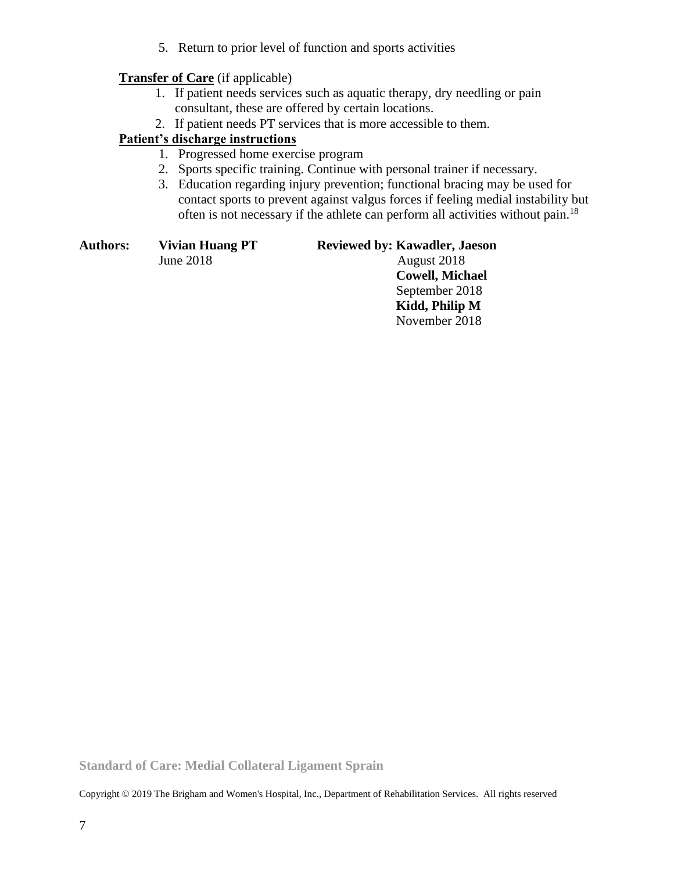5. Return to prior level of function and sports activities

### **Transfer of Care** (if applicable)

- 1. If patient needs services such as aquatic therapy, dry needling or pain consultant, these are offered by certain locations.
- 2. If patient needs PT services that is more accessible to them.

### **Patient's discharge instructions**

- 1. Progressed home exercise program
- 2. Sports specific training. Continue with personal trainer if necessary.
- 3. Education regarding injury prevention; functional bracing may be used for contact sports to prevent against valgus forces if feeling medial instability but often is not necessary if the athlete can perform all activities without pain.<sup>18</sup>

| Authors: | <b>Vivian Huang PT</b> | <b>Reviewed by: Kawadler, Jaeson</b> |
|----------|------------------------|--------------------------------------|
|          | June 2018              | August 2018                          |
|          |                        | <b>Cowell, Michael</b>               |
|          |                        | September 2018                       |
|          |                        | Kidd, Philip M                       |
|          |                        | November 2018                        |
|          |                        |                                      |

**Standard of Care: Medial Collateral Ligament Sprain**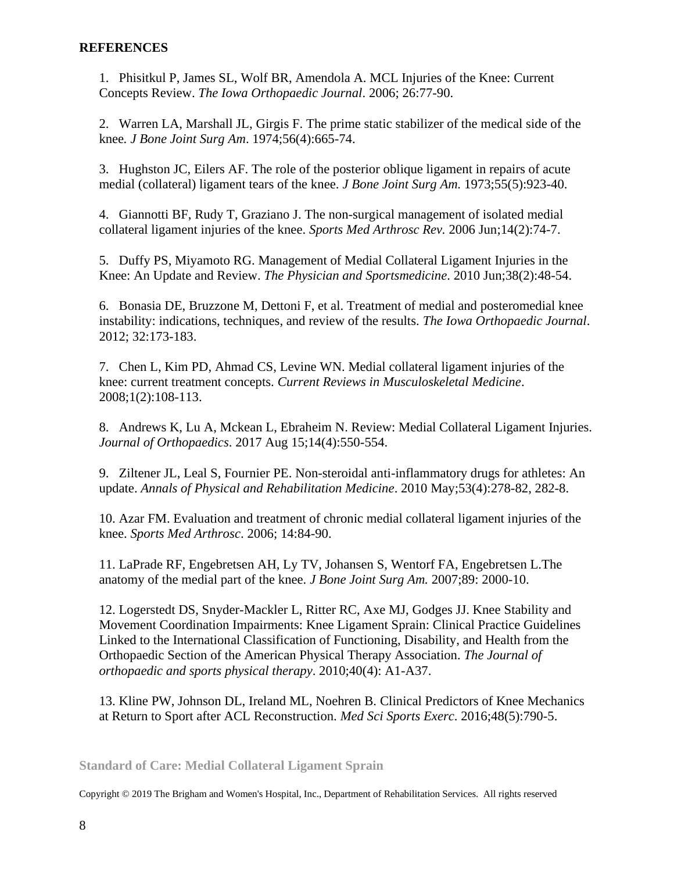#### **REFERENCES**

1. Phisitkul P, James SL, Wolf BR, Amendola A. MCL Injuries of the Knee: Current Concepts Review. *The Iowa Orthopaedic Journal*. 2006; 26:77-90.

2. Warren LA, Marshall JL, Girgis F. The prime static stabilizer of the medical side of the knee*. J Bone Joint Surg Am*. 1974;56(4):665-74.

3. Hughston JC, Eilers AF. The role of the posterior oblique ligament in repairs of acute medial (collateral) ligament tears of the knee. *J Bone Joint Surg Am.* 1973;55(5):923-40.

4. Giannotti BF, [Rudy T,](https://www.ncbi.nlm.nih.gov/pubmed/?term=Rudy%20T%5BAuthor%5D&cauthor=true&cauthor_uid=17135950) [Graziano J.](https://www.ncbi.nlm.nih.gov/pubmed/?term=Graziano%20J%5BAuthor%5D&cauthor=true&cauthor_uid=17135950) The non-surgical management of isolated medial collateral ligament injuries of the knee. *[Sports Med Arthrosc Rev.](https://www.ncbi.nlm.nih.gov/pubmed/17135950)* 2006 Jun;14(2):74-7.

5. Duffy PS, Miyamoto RG. Management of Medial Collateral Ligament Injuries in the Knee: An Update and Review. *The Physician and Sportsmedicine*. 2010 Jun;38(2):48-54.

6. Bonasia DE, Bruzzone M, Dettoni F, et al. Treatment of medial and posteromedial knee instability: indications, techniques, and review of the results. *The Iowa Orthopaedic Journal*. 2012; 32:173-183.

7. Chen L, Kim PD, Ahmad CS, Levine WN. Medial collateral ligament injuries of the knee: current treatment concepts. *Current Reviews in Musculoskeletal Medicine*. 2008;1(2):108-113.

8. Andrews K, Lu A, Mckean L, Ebraheim N. Review: Medial Collateral Ligament Injuries. *Journal of Orthopaedics*. 2017 Aug 15;14(4):550-554.

9. [Ziltener JL,](https://www.ncbi.nlm.nih.gov/pubmed/?term=Ziltener%2520JL%255BAuthor%255D&cauthor=true&cauthor_uid=20363203) [Leal S,](https://www.ncbi.nlm.nih.gov/pubmed/?term=Leal%2520S%255BAuthor%255D&cauthor=true&cauthor_uid=20363203) [Fournier PE.](https://www.ncbi.nlm.nih.gov/pubmed/?term=Fournier%2520PE%255BAuthor%255D&cauthor=true&cauthor_uid=20363203) Non-steroidal anti-inflammatory drugs for athletes: An update. *[Annals of Physical and Rehabilitation Medicine](https://www.ncbi.nlm.nih.gov/pubmed/20363203)*[.](https://www.ncbi.nlm.nih.gov/pubmed/20363203) 2010 May;53(4):278-82, 282-8.

10. Azar FM. Evaluation and treatment of chronic medial collateral ligament injuries of the knee. *Sports Med Arthrosc*. 2006; 14:84-90.

11. LaPrade RF, Engebretsen AH, Ly TV, Johansen S, Wentorf FA, Engebretsen L.The anatomy of the medial part of the knee. *J Bone Joint Surg Am.* 2007;89: 2000-10.

12. Logerstedt DS, Snyder-Mackler L, Ritter RC, Axe MJ, Godges JJ. Knee Stability and Movement Coordination Impairments: Knee Ligament Sprain: Clinical Practice Guidelines Linked to the International Classification of Functioning, Disability, and Health from the Orthopaedic Section of the American Physical Therapy Association. *The Journal of orthopaedic and sports physical therapy*. 2010;40(4): A1-A37.

13. Kline PW, Johnson DL, Ireland ML, Noehren B. Clinical Predictors of Knee Mechanics at Return to Sport after ACL Reconstruction. *Med Sci Sports Exerc*. 2016;48(5):790-5.

**Standard of Care: Medial Collateral Ligament Sprain**